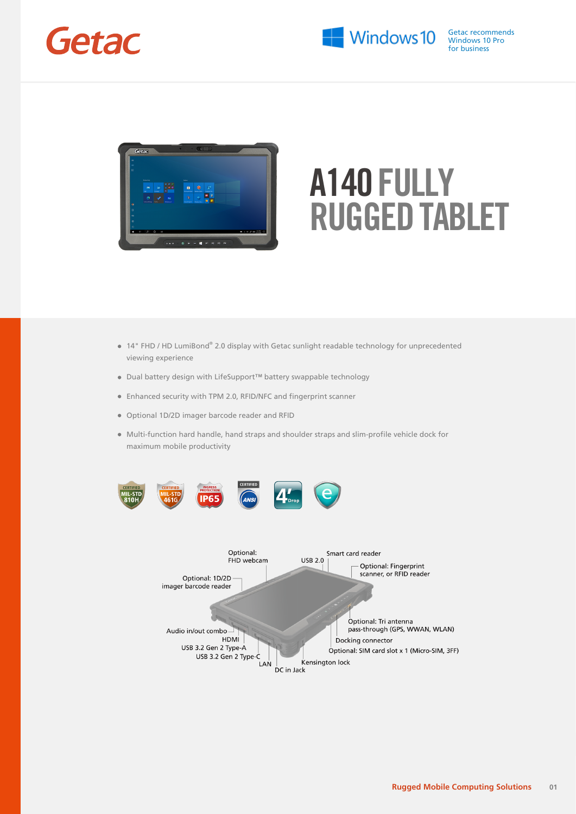



- 14" FHD / HD LumiBond® 2.0 display with Getac sunlight readable technology for unprecedented viewing experience
- Dual battery design with LifeSupport™ battery swappable technology
- Enhanced security with TPM 2.0, RFID/NFC and fingerprint scanner

HDMI

USB 3.2 Gen 2 Type-C

LAN

DC in Jack

USB 3.2 Gen 2 Type-A

- Optional 1D/2D imager barcode reader and RFID
- Multi-function hard handle, hand straps and shoulder straps and slim-profile vehicle dock for maximum mobile productivity



Docking connector

Kensington lock

Optional: SIM card slot x 1 (Micro-SIM, 3FF)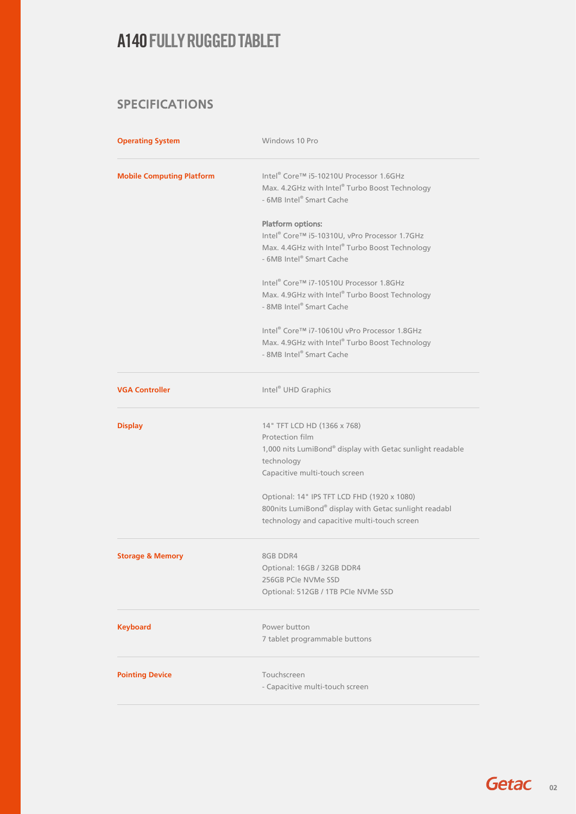#### SPECIFICATIONS

| <b>Operating System</b>          | Windows 10 Pro                                                                                                                                                                                                                                                                                                     |
|----------------------------------|--------------------------------------------------------------------------------------------------------------------------------------------------------------------------------------------------------------------------------------------------------------------------------------------------------------------|
| <b>Mobile Computing Platform</b> | Intel® Core™ i5-10210U Processor 1.6GHz<br>Max. 4.2GHz with Intel® Turbo Boost Technology<br>- 6MB Intel® Smart Cache                                                                                                                                                                                              |
|                                  | <b>Platform options:</b><br>Intel® Core™ i5-10310U, vPro Processor 1.7GHz<br>Max. 4.4GHz with Intel® Turbo Boost Technology<br>- 6MB Intel® Smart Cache                                                                                                                                                            |
|                                  | Intel® Core™ i7-10510U Processor 1.8GHz<br>Max. 4.9GHz with Intel® Turbo Boost Technology<br>- 8MB Intel® Smart Cache                                                                                                                                                                                              |
|                                  | Intel® Core™ i7-10610U vPro Processor 1.8GHz<br>Max. 4.9GHz with Intel® Turbo Boost Technology<br>- 8MB Intel® Smart Cache                                                                                                                                                                                         |
| <b>VGA Controller</b>            | Intel <sup>®</sup> UHD Graphics                                                                                                                                                                                                                                                                                    |
| <b>Display</b>                   | 14" TFT LCD HD (1366 x 768)<br>Protection film<br>1,000 nits LumiBond® display with Getac sunlight readable<br>technology<br>Capacitive multi-touch screen<br>Optional: 14" IPS TFT LCD FHD (1920 x 1080)<br>800nits LumiBond® display with Getac sunlight readabl<br>technology and capacitive multi-touch screen |
| <b>Storage &amp; Memory</b>      | 8GB DDR4<br>Optional: 16GB / 32GB DDR4<br>256GB PCIe NVMe SSD<br>Optional: 512GB / 1TB PCIe NVMe SSD                                                                                                                                                                                                               |
| <b>Keyboard</b>                  | Power button<br>7 tablet programmable buttons                                                                                                                                                                                                                                                                      |
| <b>Pointing Device</b>           | Touchscreen<br>- Capacitive multi-touch screen                                                                                                                                                                                                                                                                     |

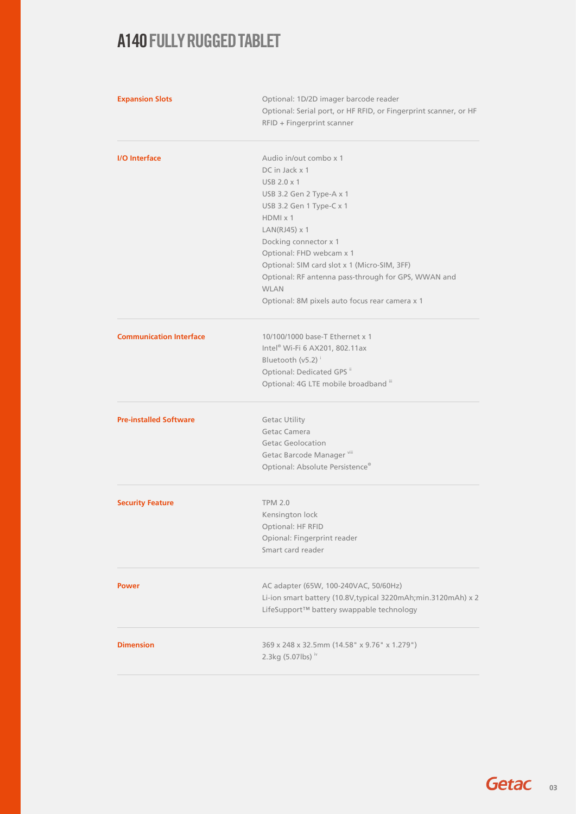| Optional: 1D/2D imager barcode reader<br>Optional: Serial port, or HF RFID, or Fingerprint scanner, or HF<br>RFID + Fingerprint scanner |
|-----------------------------------------------------------------------------------------------------------------------------------------|
| Audio in/out combo x 1                                                                                                                  |
| DC in Jack x 1                                                                                                                          |
| USB 2.0 x 1                                                                                                                             |
| USB 3.2 Gen 2 Type-A x 1                                                                                                                |
| USB 3.2 Gen 1 Type-C x 1<br>$HDMI \times 1$                                                                                             |
| $LAN(RJ45) \times 1$                                                                                                                    |
| Docking connector x 1                                                                                                                   |
| Optional: FHD webcam x 1                                                                                                                |
| Optional: SIM card slot x 1 (Micro-SIM, 3FF)                                                                                            |
| Optional: RF antenna pass-through for GPS, WWAN and                                                                                     |
| <b>WLAN</b>                                                                                                                             |
| Optional: 8M pixels auto focus rear camera x 1                                                                                          |
| 10/100/1000 base-T Ethernet x 1                                                                                                         |
| Intel® Wi-Fi 6 AX201, 802.11ax                                                                                                          |
| Bluetooth (v5.2) <sup>i</sup>                                                                                                           |
| Optional: Dedicated GPS "                                                                                                               |
| Optional: 4G LTE mobile broadband iii                                                                                                   |
| <b>Getac Utility</b>                                                                                                                    |
| Getac Camera                                                                                                                            |
| <b>Getac Geolocation</b>                                                                                                                |
| Getac Barcode Manager vill                                                                                                              |
| Optional: Absolute Persistence®                                                                                                         |
| <b>TPM 2.0</b>                                                                                                                          |
| Kensington lock                                                                                                                         |
| Optional: HF RFID                                                                                                                       |
| Opional: Fingerprint reader                                                                                                             |
| Smart card reader                                                                                                                       |
| AC adapter (65W, 100-240VAC, 50/60Hz)                                                                                                   |
| Li-ion smart battery (10.8V, typical 3220mAh; min.3120mAh) x 2                                                                          |
| LifeSupport™ battery swappable technology                                                                                               |
| 369 x 248 x 32.5mm (14.58" x 9.76" x 1.279")<br>2.3kg (5.07lbs) iv                                                                      |
|                                                                                                                                         |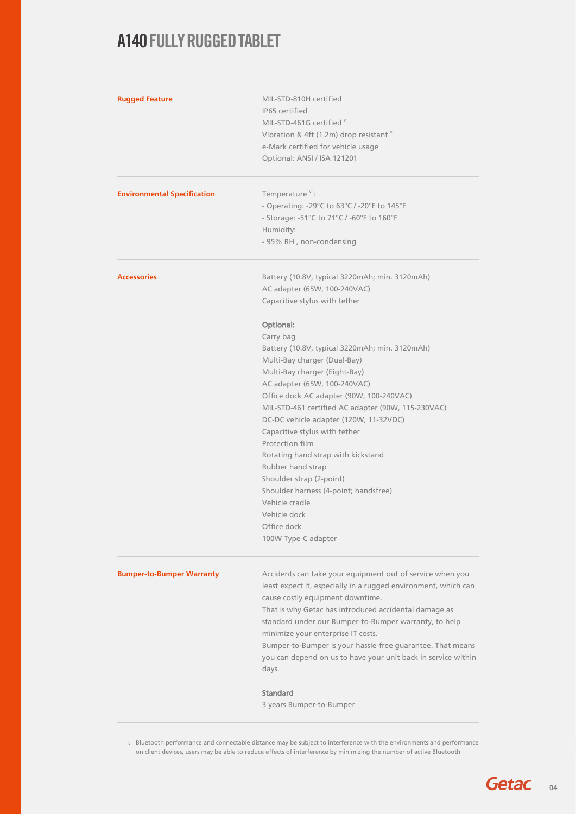| <b>Rugged Feature</b>              | MIL-STD-810H certified<br>IP65 certified<br>MIL-STD-461G certified Y<br>Vibration & 4ft (1.2m) drop resistant vi<br>e-Mark certified for vehicle usage<br>Optional: ANSI / ISA 121201                                                                                                                                                                                                                                                                                                                                                                                             |
|------------------------------------|-----------------------------------------------------------------------------------------------------------------------------------------------------------------------------------------------------------------------------------------------------------------------------------------------------------------------------------------------------------------------------------------------------------------------------------------------------------------------------------------------------------------------------------------------------------------------------------|
| <b>Environmental Specification</b> | Temperature vii:<br>- Operating: -29°C to 63°C / -20°F to 145°F<br>- Storage: -51°C to $71^{\circ}$ C / -60°F to 160°F<br>Humidity:<br>- 95% RH, non-condensing                                                                                                                                                                                                                                                                                                                                                                                                                   |
| <b>Accessories</b>                 | Battery (10.8V, typical 3220mAh; min. 3120mAh)<br>AC adapter (65W, 100-240VAC)<br>Capacitive stylus with tether                                                                                                                                                                                                                                                                                                                                                                                                                                                                   |
|                                    | Optional:<br>Carry bag<br>Battery (10.8V, typical 3220mAh; min. 3120mAh)<br>Multi-Bay charger (Dual-Bay)<br>Multi-Bay charger (Eight-Bay)<br>AC adapter (65W, 100-240VAC)<br>Office dock AC adapter (90W, 100-240VAC)<br>MIL-STD-461 certified AC adapter (90W, 115-230VAC)<br>DC-DC vehicle adapter (120W, 11-32VDC)<br>Capacitive stylus with tether<br>Protection film<br>Rotating hand strap with kickstand<br>Rubber hand strap<br>Shoulder strap (2-point)<br>Shoulder harness (4-point; handsfree)<br>Vehicle cradle<br>Vehicle dock<br>Office dock<br>100W Type-C adapter |
| <b>Bumper-to-Bumper Warranty</b>   | Accidents can take your equipment out of service when you<br>least expect it, especially in a rugged environment, which can<br>cause costly equipment downtime.<br>That is why Getac has introduced accidental damage as<br>standard under our Bumper-to-Bumper warranty, to help<br>minimize your enterprise IT costs.<br>Bumper-to-Bumper is your hassle-free guarantee. That means<br>you can depend on us to have your unit back in service within<br>days.<br><b>Standard</b><br>3 years Bumper-to-Bumper                                                                    |

I. Bluetooth performance and connectable distance may be subject to interference with the environments and performance on client devices, users may be able to reduce effects of interference by minimizing the number of active Bluetooth